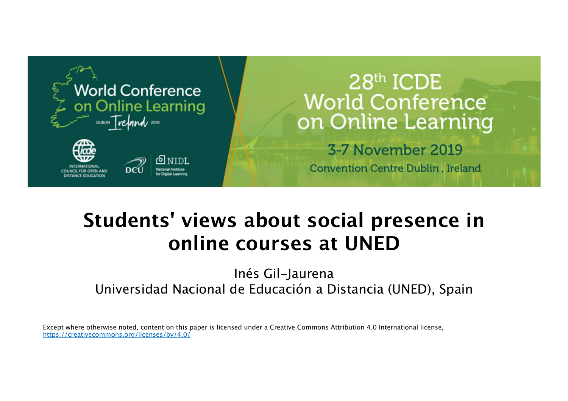

# 28th ICDE **World Conference** on Online Learning

3-7 November 2019 **Convention Centre Dublin, Ireland** 

# **Students' views about social presence in online courses at UNED**

Inés Gil-Jaurena Universidad Nacional de Educación a Distancia (UNED), Spain

Except where otherwise noted, content on this paper is licensed under a Creative Commons Attribution 4.0 International license, https://creativecommons.org/licenses/by/4.0/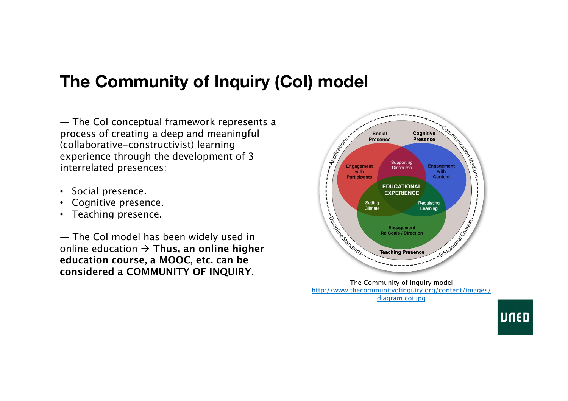# **The Community of Inquiry (CoI) model**

— The CoI conceptual framework represents a process of creating a deep and meaningful (collaborative-constructivist) learning experience through the development of 3 interrelated presences:

- Social presence.
- Cognitive presence.
- Teaching presence.

— The CoI model has been widely used in online education  $\rightarrow$  Thus, an online higher **education course, a MOOC, etc. can be considered a COMMUNITY OF INQUIRY**.



The Community of Inquiry model http://www.thecommunityofinquiry.org/content/images/ diagram.coi.jpg

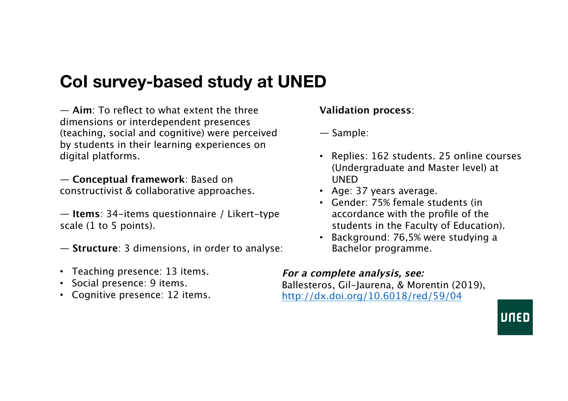# **CoI survey-based study at UNED**

— **Aim**: To reflect to what extent the three dimensions or interdependent presences (teaching, social and cognitive) were perceived by students in their learning experiences on digital platforms.

— **Conceptual framework**: Based on constructivist & collaborative approaches.

— **Items**: 34-items questionnaire / Likert-type scale (1 to 5 points).

- **Structure**: 3 dimensions, in order to analyse:
- Teaching presence: 13 items.
- Social presence: 9 items.
- Cognitive presence: 12 items.

**Validation process**:

- Sample:
- Replies: 162 students. 25 online courses (Undergraduate and Master level) at UNED
- Age: 37 years average.
- Gender: 75% female students (in accordance with the profile of the students in the Faculty of Education).
- Background: 76,5% were studying a Bachelor programme.

### **For a complete analysis, see:**

Ballesteros, Gil-Jaurena, & Morentin (2019), http://dx.doi.org/10.6018/red/59/04

UNED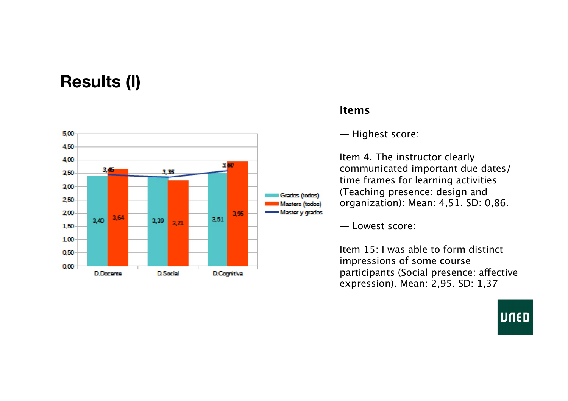## **Results (I)**



### **Items**

— Highest score:

Item 4. The instructor clearly communicated important due dates/ time frames for learning activities (Teaching presence: design and organization): Mean: 4,51. SD: 0,86.

— Lowest score:

Item 15: I was able to form distinct impressions of some course participants (Social presence: a fective expression). Mean: 2,95. SD: 1,37

**UNED**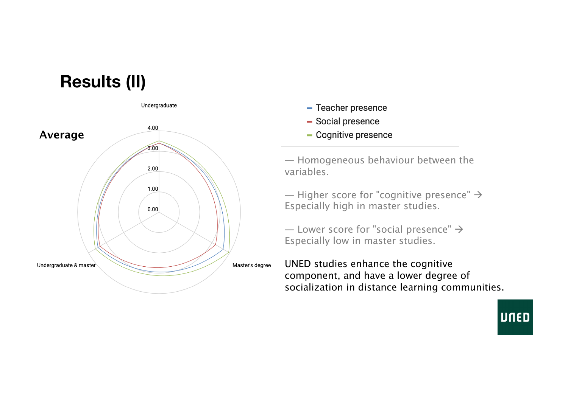

- Teacher presence
- Social presence
- Cognitive presence

— Homogeneous behaviour between the variables.

— Higher score for "cognitive presence"  $\rightarrow$ Especially high in master studies.

— Lower score for "social presence"  $\rightarrow$ Especially low in master studies.

UNED studies enhance the cognitive component, and have a lower degree of socialization in distance learning communities.

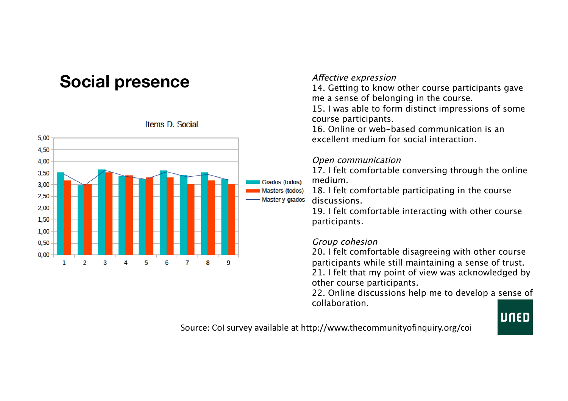### **Social presence**



#### Items D. Social

#### Afective expression

14. Getting to know other course participants gave me a sense of belonging in the course.

15. I was able to form distinct impressions of some course participants.

16. Online or web-based communication is an excellent medium for social interaction.

#### Open communication

17. I felt comfortable conversing through the online medium.

18. I felt comfortable participating in the course discussions.

19. I felt comfortable interacting with other course participants.

#### Group cohesion

20. I felt comfortable disagreeing with other course participants while still maintaining a sense of trust. 21. I felt that my point of view was acknowledged by other course participants.

22. Online discussions help me to develop a sense of collaboration.

# **UNED**

Source: Col survey available at http://www.thecommunityofinquiry.org/coi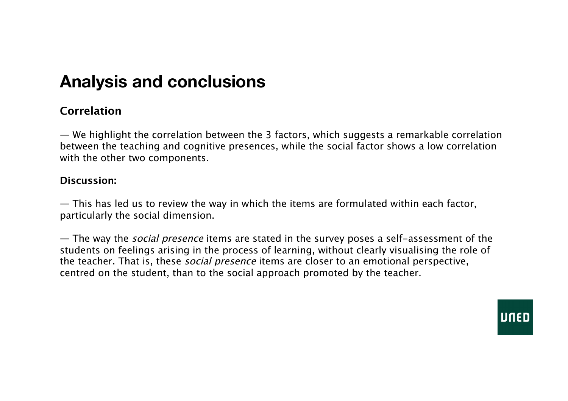## **Analysis and conclusions**

### **Correlation**

— We highlight the correlation between the 3 factors, which suggests a remarkable correlation between the teaching and cognitive presences, while the social factor shows a low correlation with the other two components.

### **Discussion:**

— This has led us to review the way in which the items are formulated within each factor, particularly the social dimension.

— The way the *social presence* items are stated in the survey poses a self-assessment of the students on feelings arising in the process of learning, without clearly visualising the role of the teacher. That is, these *social presence* items are closer to an emotional perspective, centred on the student, than to the social approach promoted by the teacher.

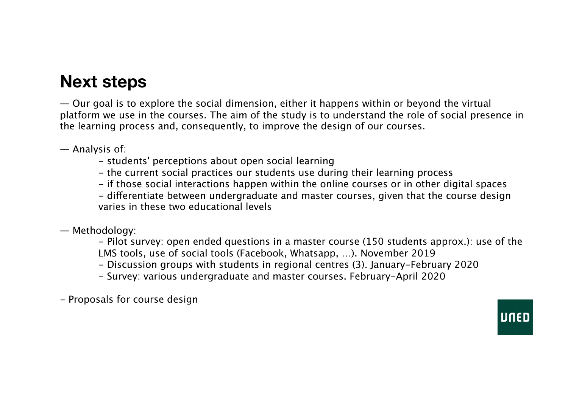### **Next steps**

— Our goal is to explore the social dimension, either it happens within or beyond the virtual platform we use in the courses. The aim of the study is to understand the role of social presence in the learning process and, consequently, to improve the design of our courses.

— Analysis of:

- students' perceptions about open social learning
- the current social practices our students use during their learning process
- if those social interactions happen within the online courses or in other digital spaces

- diferentiate between undergraduate and master courses, given that the course design varies in these two educational levels

— Methodology:

- Pilot survey: open ended questions in a master course (150 students approx.): use of the LMS tools, use of social tools (Facebook, Whatsapp, …). November 2019

- Discussion groups with students in regional centres (3). January-February 2020
- Survey: various undergraduate and master courses. February-April 2020

- Proposals for course design